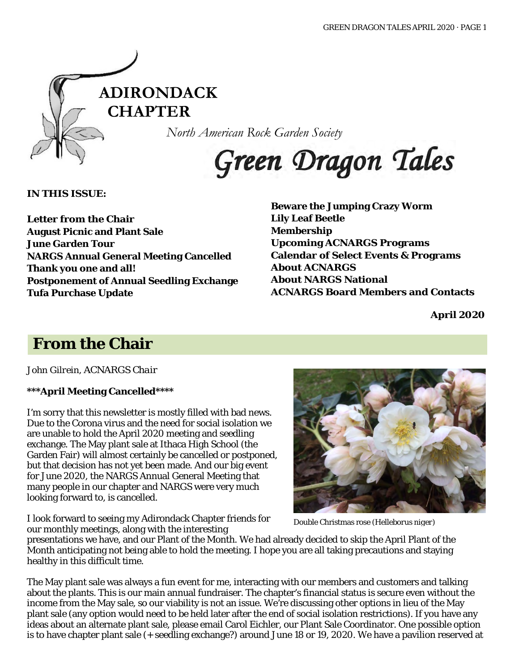

*North American Rock Garden Society*

Green Dragon Tales

**IN THIS ISSUE:**

**Letter from the Chair August Picnic and Plant Sale June Garden Tour NARGS Annual General Meeting Cancelled Thank you one and all! Postponement of Annual Seedling Exchange Tufa Purchase Update**

**Beware the Jumping Crazy Worm Lily Leaf Beetle Membership Upcoming ACNARGS Programs Calendar of Select Events & Programs About ACNARGS About NARGS National ACNARGS Board Members and Contacts**

**April 2020**

# **From the Chair**

*John Gilrein, ACNARGS Chair*

### **\*\*\*April Meeting Cancelled\*\*\*\***

I'm sorry that this newsletter is mostly filled with bad news. Due to the Corona virus and the need for social isolation we are unable to hold the April 2020 meeting and seedling exchange. The May plant sale at Ithaca High School (the Garden Fair) will almost certainly be cancelled or postponed, but that decision has not yet been made. And our big event for June 2020, the NARGS Annual General Meeting that many people in our chapter and NARGS were very much looking forward to, is cancelled.

I look forward to seeing my Adirondack Chapter friends for our monthly meetings, along with the interesting



Double Christmas rose (*Helleborus niger*)

presentations we have, and our Plant of the Month. We had already decided to skip the April Plant of the Month anticipating not being able to hold the meeting. I hope you are all taking precautions and staying healthy in this difficult time.

The May plant sale was always a fun event for me, interacting with our members and customers and talking about the plants. This is our main annual fundraiser. The chapter's financial status is secure even without the income from the May sale, so our viability is not an issue. We're discussing other options in lieu of the May plant sale (any option would need to be held later after the end of social isolation restrictions). If you have any ideas about an alternate plant sale, please email Carol Eichler, our Plant Sale Coordinator. One possible option is to have chapter plant sale (+ seedling exchange?) around June 18 or 19, 2020. We have a pavilion reserved at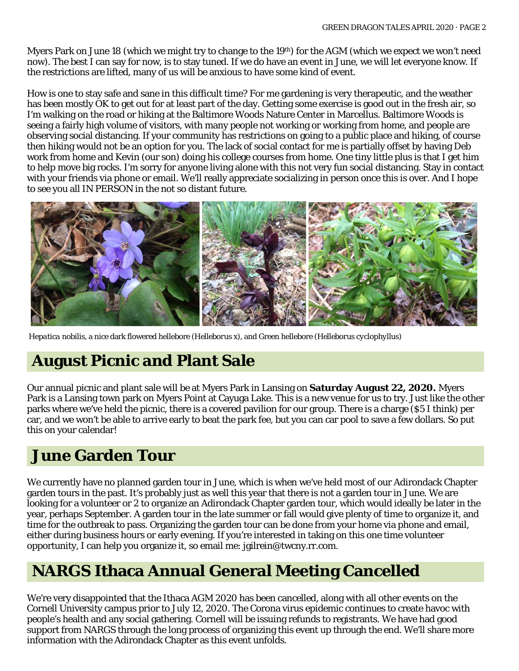Myers Park on June 18 (which we might try to change to the 19th) for the AGM (which we expect we won't need now). The best I can say for now, is to stay tuned. If we do have an event in June, we will let everyone know. If the restrictions are lifted, many of us will be anxious to have some kind of event.

How is one to stay safe and sane in this difficult time? For me gardening is very therapeutic, and the weather has been mostly OK to get out for at least part of the day. Getting some exercise is good out in the fresh air, so I'm walking on the road or hiking at the Baltimore Woods Nature Center in Marcellus. Baltimore Woods is seeing a fairly high volume of visitors, with many people not working or working from home, and people are observing social distancing. If your community has restrictions on going to a public place and hiking, of course then hiking would not be an option for you. The lack of social contact for me is partially offset by having Deb work from home and Kevin (our son) doing his college courses from home. One tiny little plus is that I get him to help move big rocks. I'm sorry for anyone living alone with this not very fun social distancing. Stay in contact with your friends via phone or email. We'll really appreciate socializing in person once this is over. And I hope to see you all IN PERSON in the not so distant future.



*Hepatica nobilis*, a nice dark flowered hellebore (*Helleborus x*), and Green hellebore (*Helleborus cyclophyllus*)

## **August Picnic and Plant Sale**

Our annual picnic and plant sale will be at Myers Park in Lansing on **Saturday August 22, 2020.** Myers Park is a Lansing town park on Myers Point at Cayuga Lake. This is a new venue for us to try. Just like the other parks where we've held the picnic, there is a covered pavilion for our group. There is a charge (\$5 I think) per car, and we won't be able to arrive early to beat the park fee, but you can car pool to save a few dollars. So put this on your calendar!

## **June Garden Tour**

We currently have no planned garden tour in June, which is when we've held most of our Adirondack Chapter garden tours in the past. It's probably just as well this year that there is not a garden tour in June. We are looking for a volunteer or 2 to organize an Adirondack Chapter garden tour, which would ideally be later in the year, perhaps September. A garden tour in the late summer or fall would give plenty of time to organize it, and time for the outbreak to pass. Organizing the garden tour can be done from your home via phone and email, either during business hours or early evening. If you're interested in taking on this one time volunteer opportunity, I can help you organize it, so email me: jgilrein@twcny.rr.com.

# **NARGS Ithaca Annual General Meeting Cancelled**

We're very disappointed that the Ithaca AGM 2020 has been cancelled, along with all other events on the Cornell University campus prior to July 12, 2020. The Corona virus epidemic continues to create havoc with people's health and any social gathering. Cornell will be issuing refunds to registrants. We have had good support from NARGS through the long process of organizing this event up through the end. We'll share more information with the Adirondack Chapter as this event unfolds.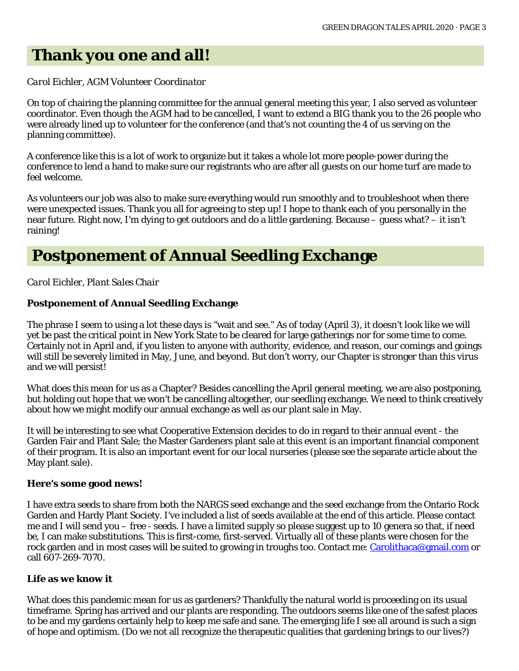## **Thank you one and all!**

#### *Carol Eichler, AGM Volunteer Coordinator*

On top of chairing the planning committee for the annual general meeting this year, I also served as volunteer coordinator. Even though the AGM had to be cancelled, I want to extend a BIG thank you to the 26 people who were already lined up to volunteer for the conference (and that's not counting the 4 of us serving on the planning committee).

A conference like this is a lot of work to organize but it takes a whole lot more people-power during the conference to lend a hand to make sure our registrants who are after all guests on our home turf are made to feel welcome.

As volunteers our job was also to make sure everything would run smoothly and to troubleshoot when there were unexpected issues. Thank you all for agreeing to step up! I hope to thank each of you personally in the near future. Right now, I'm dying to get outdoors and do a little gardening. Because – guess what? – it isn't raining!

## **Postponement of Annual Seedling Exchange**

*Carol Eichler, Plant Sales Chair*

#### **Postponement of Annual Seedling Exchange**

The phrase I seem to using a lot these days is "wait and see." As of today (April 3), it doesn't look like we will yet be past the critical point in New York State to be cleared for large gatherings nor for some time to come. Certainly not in April and, if you listen to anyone with authority, evidence, and reason, our comings and goings will still be severely limited in May, June, and beyond. But don't worry, our Chapter is stronger than this virus and we will persist!

What does this mean for us as a Chapter? Besides cancelling the April general meeting, we are also postponing, but holding out hope that we won't be cancelling altogether, our seedling exchange. We need to think creatively about how we might modify our annual exchange as well as our plant sale in May.

It will be interesting to see what Cooperative Extension decides to do in regard to their annual event - the Garden Fair and Plant Sale; the Master Gardeners plant sale at this event is an important financial component of their program. It is also an important event for our local nurseries (please see the separate article about the May plant sale).

#### **Here's some good news!**

I have extra seeds to share from both the NARGS seed exchange and the seed exchange from the Ontario Rock Garden and Hardy Plant Society. I've included a list of seeds available at the end of this article. Please contact me and I will send you – free - seeds. I have a limited supply so please suggest up to 10 genera so that, if need be, I can make substitutions. This is first-come, first-served. Virtually all of these plants were chosen for the rock garden and in most cases will be suited to growing in troughs too. Contact me: [Carolithaca@gmail.com o](mailto:Carolithaca@gmail.com)r call 607-269-7070.

#### **Life as we know it**

What does this pandemic mean for us as gardeners? Thankfully the natural world is proceeding on its usual timeframe. Spring has arrived and our plants are responding. The outdoors seems like one of the safest places to be and my gardens certainly help to keep me safe and sane. The emerging life I see all around is such a sign of hope and optimism. (Do we not all recognize the therapeutic qualities that gardening brings to our lives?)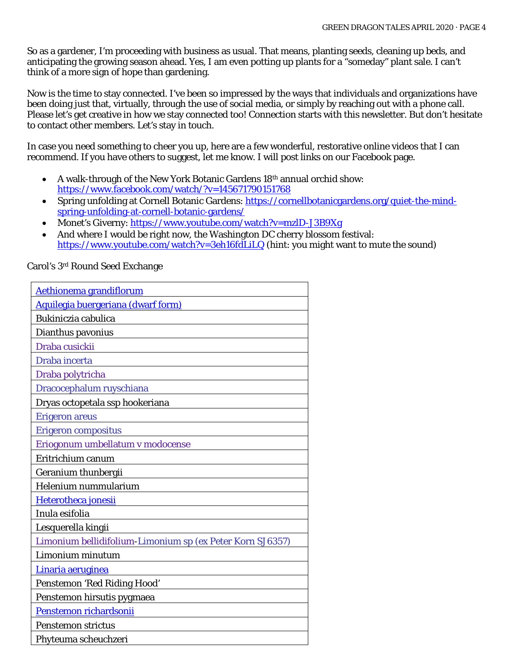So as a gardener, I'm proceeding with business as usual. That means, planting seeds, cleaning up beds, and anticipating the growing season ahead. Yes, I am even potting up plants for a "someday" plant sale. I can't think of a more sign of hope than gardening.

Now is the time to stay connected. I've been so impressed by the ways that individuals and organizations have been doing just that, virtually, through the use of social media, or simply by reaching out with a phone call. Please let's get creative in how we stay connected too! Connection starts with this newsletter. But don't hesitate to contact other members. Let's stay in touch.

In case you need something to cheer you up, here are a few wonderful, restorative online videos that I can recommend. If you have others to suggest, let me know. I will post links on our Facebook page.

- A walk-through of the New York Botanic Gardens 18th annual orchid show: <https://www.facebook.com/watch/?v=145671790151768>
- Spring unfolding at Cornell Botanic Gardens: [https://cornellbotanicgardens.org/quiet-the-mind](https://cornellbotanicgardens.org/quiet-the-mind-spring-unfolding-at-cornell-botanic-gardens/)[spring-unfolding-at-cornell-botanic-gardens/](https://cornellbotanicgardens.org/quiet-the-mind-spring-unfolding-at-cornell-botanic-gardens/)
- Monet's Giverny:<https://www.youtube.com/watch?v=mzlD-J3B9Xg>
- And where I would be right now, the Washington DC cherry blossom festival: <https://www.youtube.com/watch?v=3eh16fdLiLQ> (hint: you might want to mute the sound)

[Aethionema grandiflorum](http://www.google.com/search?q=Aethionema%20grandiflorum) [Aquilegia buergeriana \(dwarf form\)](http://www.google.com/search?q=Aquilegia%20buergeriana) Bukiniczia cabulica Dianthus pavonius Draba cusickii Draba incerta Draba polytricha Dracocephalum ruyschiana Dryas octopetala ssp hookeriana Erigeron areus Erigeron compositus Eriogonum umbellatum v modocense Eritrichium canum Geranium thunbergii Helenium nummularium [Heterotheca jonesii](http://www.google.com/search?q=Heterotheca%20jonesii) Inula esifolia Lesquerella kingii Limonium bellidifolium-Limonium sp (ex Peter Korn SJ6357) Limonium minutum [Linaria aeruginea](http://www.google.com/search?q=Linaria%20aeruginea) Penstemon 'Red Riding Hood' Penstemon hirsutis pygmaea [Penstemon richardsonii](http://www.google.com/search?q=Penstemon%20richardsonii) Penstemon strictus Phyteuma scheuchzeri

Carol's 3rd Round Seed Exchange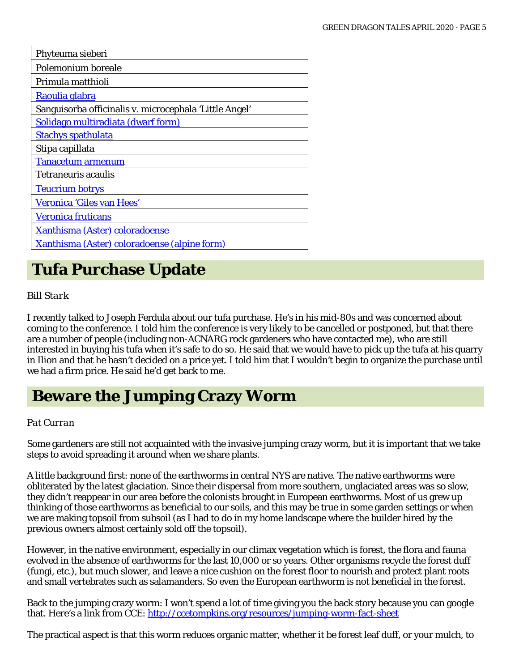| Phyteuma sieberi                                       |
|--------------------------------------------------------|
| Polemonium boreale                                     |
| Primula matthioli                                      |
| Raoulia glabra                                         |
| Sanguisorba officinalis v. microcephala 'Little Angel' |
| Solidago multiradiata (dwarf form)                     |
| <b>Stachys spathulata</b>                              |
| Stipa capillata                                        |
| <b>Tanacetum armenum</b>                               |
| <b>Tetraneuris acaulis</b>                             |
| <b>Teucrium botrys</b>                                 |
| Veronica 'Giles van Hees'                              |
| <b>Veronica fruticans</b>                              |
| <b>Xanthisma (Aster) coloradoense</b>                  |
| Xanthisma (Aster) coloradoense (alpine form)           |

# **Tufa Purchase Update**

#### *Bill Stark*

I recently talked to Joseph Ferdula about our tufa purchase. He's in his mid-80s and was concerned about coming to the conference. I told him the conference is very likely to be cancelled or postponed, but that there are a number of people (including non-ACNARG rock gardeners who have contacted me), who are still interested in buying his tufa when it's safe to do so. He said that we would have to pick up the tufa at his quarry in Ilion and that he hasn't decided on a price yet. I told him that I wouldn't begin to organize the purchase until we had a firm price. He said he'd get back to me.

## **Beware the Jumping Crazy Worm**

#### *Pat Curran*

Some gardeners are still not acquainted with the invasive jumping crazy worm, but it is important that we take steps to avoid spreading it around when we share plants.

A little background first: none of the earthworms in central NYS are native. The native earthworms were obliterated by the latest glaciation. Since their dispersal from more southern, unglaciated areas was so slow, they didn't reappear in our area before the colonists brought in European earthworms. Most of us grew up thinking of those earthworms as beneficial to our soils, and this may be true in some garden settings or when we are making topsoil from subsoil (as I had to do in my home landscape where the builder hired by the previous owners almost certainly sold off the topsoil).

However, in the native environment, especially in our climax vegetation which is forest, the flora and fauna evolved in the absence of earthworms for the last 10,000 or so years. Other organisms recycle the forest duff (fungi, etc.), but much slower, and leave a nice cushion on the forest floor to nourish and protect plant roots and small vertebrates such as salamanders. So even the European earthworm is not beneficial in the forest.

Back to the jumping crazy worm: I won't spend a lot of time giving you the back story because you can google that. Here's a link from CCE: <http://ccetompkins.org/resources/jumping-worm-fact-sheet>

The practical aspect is that this worm reduces organic matter, whether it be forest leaf duff, or your mulch, to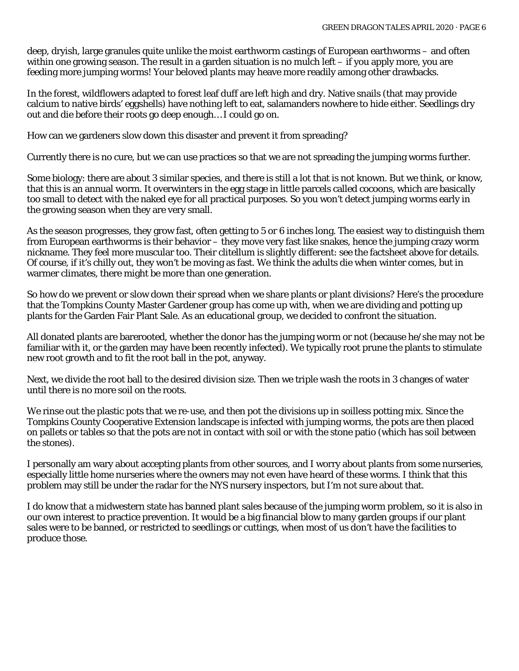deep, dryish, large granules quite unlike the moist earthworm castings of European earthworms – and often within one growing season. The result in a garden situation is no mulch left – if you apply more, you are feeding more jumping worms! Your beloved plants may heave more readily among other drawbacks.

In the forest, wildflowers adapted to forest leaf duff are left high and dry. Native snails (that may provide calcium to native birds' eggshells) have nothing left to eat, salamanders nowhere to hide either. Seedlings dry out and die before their roots go deep enough… I could go on.

How can we gardeners slow down this disaster and prevent it from spreading?

Currently there is no cure, but we can use practices so that we are not spreading the jumping worms further.

Some biology: there are about 3 similar species, and there is still a lot that is not known. But we think, or know, that this is an annual worm. It overwinters in the egg stage in little parcels called cocoons, which are basically too small to detect with the naked eye for all practical purposes. So you won't detect jumping worms early in the growing season when they are very small.

As the season progresses, they grow fast, often getting to 5 or 6 inches long. The easiest way to distinguish them from European earthworms is their behavior – they move very fast like snakes, hence the jumping crazy worm nickname. They feel more muscular too. Their clitellum is slightly different: see the factsheet above for details. Of course, if it's chilly out, they won't be moving as fast. We think the adults die when winter comes, but in warmer climates, there might be more than one generation.

So how do we prevent or slow down their spread when we share plants or plant divisions? Here's the procedure that the Tompkins County Master Gardener group has come up with, when we are dividing and potting up plants for the Garden Fair Plant Sale. As an educational group, we decided to confront the situation.

All donated plants are barerooted, whether the donor has the jumping worm or not (because he/she may not be familiar with it, or the garden may have been recently infected). We typically root prune the plants to stimulate new root growth and to fit the root ball in the pot, anyway.

Next, we divide the root ball to the desired division size. Then we triple wash the roots in 3 changes of water until there is no more soil on the roots.

We rinse out the plastic pots that we re-use, and then pot the divisions up in soilless potting mix. Since the Tompkins County Cooperative Extension landscape is infected with jumping worms, the pots are then placed on pallets or tables so that the pots are not in contact with soil or with the stone patio (which has soil between the stones).

I personally am wary about accepting plants from other sources, and I worry about plants from some nurseries, especially little home nurseries where the owners may not even have heard of these worms. I think that this problem may still be under the radar for the NYS nursery inspectors, but I'm not sure about that.

I do know that a midwestern state has banned plant sales because of the jumping worm problem, so it is also in our own interest to practice prevention. It would be a big financial blow to many garden groups if our plant sales were to be banned, or restricted to seedlings or cuttings, when most of us don't have the facilities to produce those.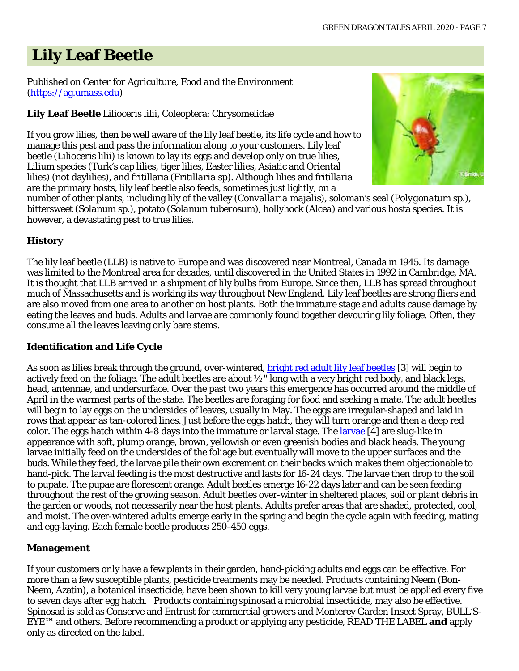# **Lily Leaf Beetle**

#### Published on *Center for Agriculture, Food and the Environment* [\(https://ag.umass.edu\)](https://ag.umass.edu/)

### **Lily Leaf Beetle** *Lilioceris lilii,* Coleoptera: Chrysomelidae

If you grow lilies, then be well aware of the lily leaf beetle, its life cycle and how to manage this pest and pass the information along to your customers. Lily leaf beetle (*Lilioceris lilii*) is known to lay its eggs and develop only on true lilies, *Lilium* species (Turk's cap lilies, tiger lilies, Easter lilies, Asiatic and Oriental lilies) (not daylilies), and fritillaria (*Fritillaria* sp). Although lilies and fritillaria are the primary hosts, lily leaf beetle also feeds, sometimes just lightly, on a



number of other plants, including lily of the valley (*Convallaria majalis),* soloman's seal (*Polygonatum* sp.), bittersweet (*Solanum* sp.), potato (*Solanum tuberosum*), hollyhock (*Alcea*) and various hosta species. It is however, a devastating pest to true lilies.

### **History**

The lily leaf beetle (LLB) is native to Europe and was discovered near Montreal, Canada in 1945. Its damage was limited to the Montreal area for decades, until discovered in the United States in 1992 in Cambridge, MA. It is thought that LLB arrived in a shipment of lily bulbs from Europe. Since then, LLB has spread throughout much of Massachusetts and is working its way throughout New England. Lily leaf beetles are strong fliers and are also moved from one area to another on host plants. Both the immature stage and adults cause damage by eating the leaves and buds. Adults and larvae are commonly found together devouring lily foliage. Often, they consume all the leaves leaving only bare stems.

### **Identification and Life Cycle**

As soon as lilies break through the ground, over-wintered, **bright red adult lily leaf beetles** [3] will begin to actively feed on the foliage. The adult beetles are about ½" long with a very bright red body, and black legs, head, antennae, and undersurface. Over the past two years this emergence has occurred around the middle of April in the warmest parts of the state. The beetles are foraging for food and seeking a mate. The adult beetles will begin to lay eggs on the undersides of leaves, usually in May. The eggs are irregular-shaped and laid in rows that appear as tan-colored lines. Just before the eggs hatch, they will turn orange and then a deep red color. The eggs hatch within 4-8 days into the immature or larval stage. The [larvae](http://negreenhouseupdate.info/photos/lily-leaf-beetle-larvae-0) [4] are slug-like in appearance with soft, plump orange, brown, yellowish or even greenish bodies and black heads. The young larvae initially feed on the undersides of the foliage but eventually will move to the upper surfaces and the buds. While they feed, the larvae pile their own excrement on their backs which makes them objectionable to hand-pick. The larval feeding is the most destructive and lasts for 16-24 days. The larvae then drop to the soil to pupate. The pupae are florescent orange. Adult beetles emerge 16-22 days later and can be seen feeding throughout the rest of the growing season. Adult beetles over-winter in sheltered places, soil or plant debris in the garden or woods, not necessarily near the host plants. Adults prefer areas that are shaded, protected, cool, and moist. The over-wintered adults emerge early in the spring and begin the cycle again with feeding, mating and egg-laying. Each female beetle produces 250-450 eggs.

### **Management**

If your customers only have a few plants in their garden, hand-picking adults and eggs can be effective. For more than a few susceptible plants, pesticide treatments may be needed. Products containing Neem (Bon-Neem, Azatin), a botanical insecticide, have been shown to kill very young larvae but must be applied every five to seven days after egg hatch. Products containing spinosad a microbial insecticide, may also be effective. Spinosad is sold as Conserve and Entrust for commercial growers and Monterey Garden Insect Spray, BULL'S-EYE™ and others. Before recommending a product or applying any pesticide, READ THE LABEL **and** apply only as directed on the label.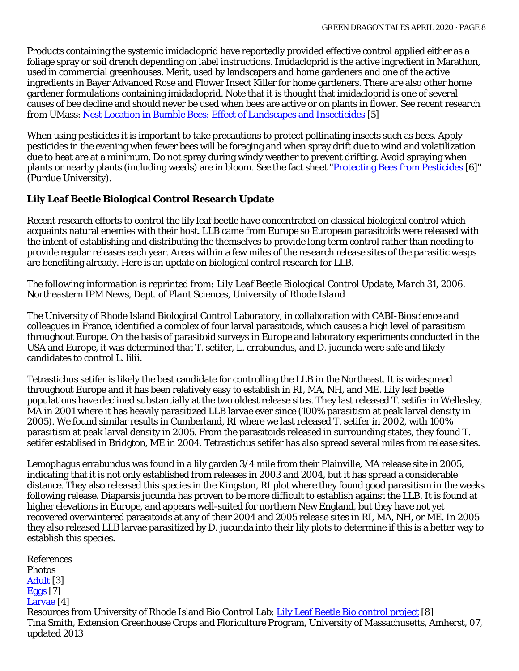Products containing the systemic imidacloprid have reportedly provided effective control applied either as a foliage spray or soil drench depending on label instructions. Imidacloprid is the active ingredient in Marathon, used in commercial greenhouses. Merit, used by landscapers and home gardeners and one of the active ingredients in Bayer Advanced Rose and Flower Insect Killer for home gardeners. There are also other home gardener formulations containing imidacloprid. Note that it is thought that imidacloprid is one of several causes of bee decline and should never be used when bees are active or on plants in flower. See recent research from UMass[: Nest Location in Bumble Bees: Effect of Landscapes and Insecticides](https://bee-health.extension.org/nest-location-in-bumble-bees-effect-of-landscapes-and-insecticides/) [5]

When using pesticides it is important to take precautions to protect pollinating insects such as bees. Apply pesticides in the evening when fewer bees will be foraging and when spray drift due to wind and volatilization due to heat are at a minimum. Do not spray during windy weather to prevent drifting. Avoid spraying when plants or nearby plants (including weeds) are in bloom. See the fact sheet ["Protecting Bees from Pesticides](http://extension.entm.purdue.edu/publications/E-53.pdf) [6]" (Purdue University).

#### **Lily Leaf Beetle Biological Control Research Update**

Recent research efforts to control the lily leaf beetle have concentrated on classical biological control which acquaints natural enemies with their host. LLB came from Europe so European parasitoids were released with the intent of establishing and distributing the themselves to provide long term control rather than needing to provide regular releases each year. Areas within a few miles of the research release sites of the parasitic wasps are benefiting already. Here is an update on biological control research for LLB.

#### *The following information is reprinted from: Lily Leaf Beetle Biological Control Update, March 31, 2006. Northeastern IPM News, Dept. of Plant Sciences, University of Rhode Island*

The University of Rhode Island Biological Control Laboratory, in collaboration with CABI-Bioscience and colleagues in France, identified a complex of four larval parasitoids, which causes a high level of parasitism throughout Europe. On the basis of parasitoid surveys in Europe and laboratory experiments conducted in the USA and Europe, it was determined that T. setifer, L. errabundus, and D. jucunda were safe and likely candidates to control L. lilii.

Tetrastichus setifer is likely the best candidate for controlling the LLB in the Northeast. It is widespread throughout Europe and it has been relatively easy to establish in RI, MA, NH, and ME. Lily leaf beetle populations have declined substantially at the two oldest release sites. They last released T. setifer in Wellesley, MA in 2001 where it has heavily parasitized LLB larvae ever since (100% parasitism at peak larval density in 2005). We found similar results in Cumberland, RI where we last released T. setifer in 2002, with 100% parasitism at peak larval density in 2005. From the parasitoids released in surrounding states, they found T. setifer establised in Bridgton, ME in 2004. Tetrastichus setifer has also spread several miles from release sites.

Lemophagus errabundus was found in a lily garden 3/4 mile from their Plainville, MA release site in 2005, indicating that it is not only established from releases in 2003 and 2004, but it has spread a considerable distance. They also released this species in the Kingston, RI plot where they found good parasitism in the weeks following release. Diaparsis jucunda has proven to be more difficult to establish against the LLB. It is found at higher elevations in Europe, and appears well-suited for northern New England, but they have not yet recovered overwintered parasitoids at any of their 2004 and 2005 release sites in RI, MA, NH, or ME. In 2005 they also released LLB larvae parasitized by D. jucunda into their lily plots to determine if this is a better way to establish this species.

References Photos [Adult](http://negreenhouseupdate.info/photos/lily-leaf-beetle-adult-asiatic-lily) [3] [Eggs](http://negreenhouseupdate.info/photos/lily-leaf-beetle-eggs-fritillaria) [7] [Larvae](http://negreenhouseupdate.info/photos/lily-leaf-beetle-larvae-0) [4] Resources from University of Rhode Island Bio Control Lab: [Lily Leaf Beetle Bio control project](http://web.uri.edu/biocontrol/lily-leaf-beetle/) [8] Tina Smith, Extension Greenhouse Crops and Floriculture Program, University of Massachusetts, Amherst, 07, updated 2013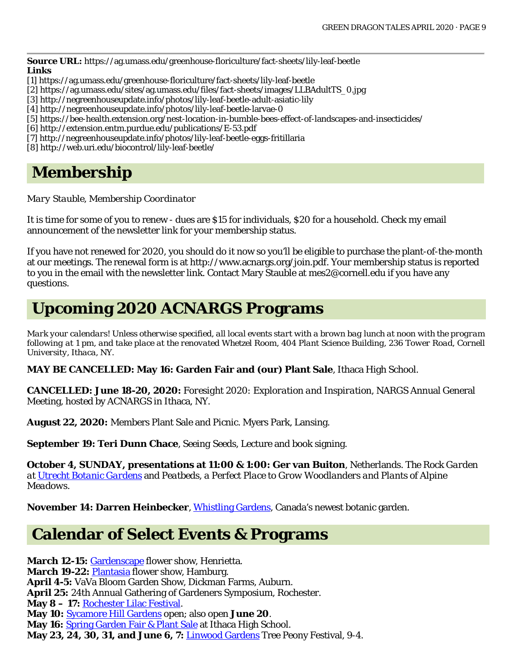**Source URL:** https://ag.umass.edu/greenhouse-floriculture/fact-sheets/lily-leaf-beetle **Links**

- [1] https://ag.umass.edu/greenhouse-floriculture/fact-sheets/lily-leaf-beetle
- [2] https://ag.umass.edu/sites/ag.umass.edu/files/fact-sheets/images/LLBAdultTS\_0.jpg
- [3] http://negreenhouseupdate.info/photos/lily-leaf-beetle-adult-asiatic-lily
- [4] http://negreenhouseupdate.info/photos/lily-leaf-beetle-larvae-0
- [5] https://bee-health.extension.org/nest-location-in-bumble-bees-effect-of-landscapes-and-insecticides/
- [6] http://extension.entm.purdue.edu/publications/E-53.pdf
- [7] http://negreenhouseupdate.info/photos/lily-leaf-beetle-eggs-fritillaria
- [8] http://web.uri.edu/biocontrol/lily-leaf-beetle/

## **Membership**

*Mary Stauble, Membership Coordinator*

It is time for some of you to renew - dues are \$15 for individuals, \$20 for a household. Check my email announcement of the newsletter link for your membership status.

If you have not renewed for 2020, you should do it now so you'll be eligible to purchase the plant-of-the-month at our meetings. The renewal form is at [http://www.acnargs.org/join.pdf.](http://www.acnargs.org/join.pdf) Your membership status is reported to you in the email with the newsletter link. Contact Mary Stauble at [mes2@cornell.edu](mailto:mes2@cornell.edu) if you have any questions.

# **Upcoming 2020 ACNARGS Programs**

*Mark your calendars! Unless otherwise specified, all local events start with a brown bag lunch at noon with the program following at 1 pm, and take place at the renovated Whetzel Room, 404 Plant Science Building, 236 Tower Road, Cornell University, Ithaca, NY.*

**MAY BE CANCELLED: May 16: Garden Fair and (our) Plant Sale**, Ithaca High School.

**CANCELLED: June 18-20, 2020:** *Foresight 2020: Exploration and Inspiration*, NARGS Annual General Meeting, hosted by ACNARGS in Ithaca, NY.

**August 22, 2020:** Members Plant Sale and Picnic. Myers Park, Lansing.

**September 19: Teri Dunn Chace**, *Seeing Seeds,* Lecture and book signing.

**October 4, SUNDAY, presentations at 11:00 & 1:00: Ger van Buiton**, Netherlands. *The Rock Garden at [Utrecht Botanic Gardens](https://www.uu.nl/en/utrecht-botanic-gardens)* and *Peatbeds, a Perfect Place to Grow Woodlanders and Plants of Alpine Meadows.*

**November 14: Darren Heinbecker**, [Whistling Gardens,](https://www.whistlinggardens.ca/) Canada's newest botanic garden.

## **Calendar of Select Events & Programs**

**March 12-15:** [Gardenscape](https://rochesterflowershow.com/) flower show, Henrietta. March 19-22: [Plantasia](https://flowerfairs.org/plantasia/) flower show, Hamburg. **April 4-5:** VaVa Bloom Garden Show, Dickman Farms, Auburn. **April 25:** 24th Annual Gathering of Gardeners Symposium, Rochester. **May 8 – 17:** [Rochester Lilac Festival.](https://www.rochesterevents.com/lilac-festival/) **May 10:** [Sycamore Hill Gardens](http://www.sycamorehillgardens.com/) open; also open **June 20**. May 16: [Spring Garden Fair & Plant Sale](http://ccetompkins.org/events/2018/05/20/spring-garden-fair-plant-sale) at Ithaca High School. **May 23, 24, 30, 31, and June 6, 7:** [Linwood Gardens](https://www.linwoodgardens.org/) Tree Peony Festival, 9-4.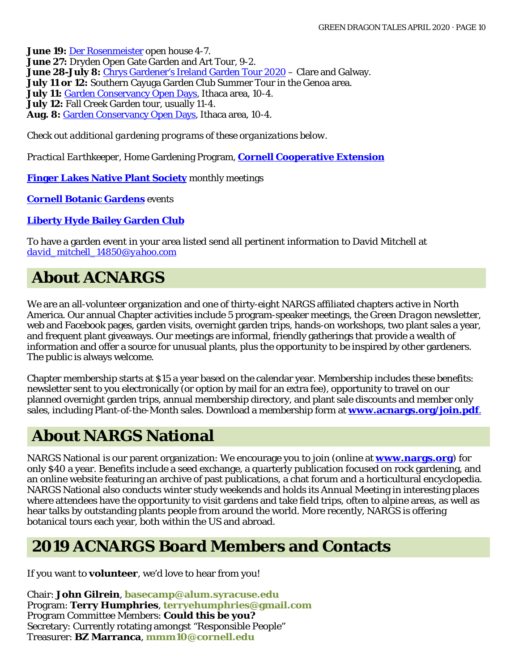**June 19: [Der Rosenmeister](https://derrosenmeister.com/) open house 4-7. June 27:** Dryden Open Gate Garden and Art Tour, 9-2. **June 28-July 8:** Chrys [Gardener's Ireland Garden Tour 2020](https://chrysgardener.com/ireland-garden-tour-2020/) – Clare and Galway. **July 11 or 12:** Southern Cayuga Garden Club Summer Tour in the Genoa area. July 11: **Garden Conservancy Open Days**, Ithaca area, 10-4. **July 12:** Fall Creek Garden tour, usually 11-4. **Aug. 8:** [Garden Conservancy Open Days,](https://www.gardenconservancy.org/open-days) Ithaca area, 10-4.

*Check out additional gardening programs of these organizations below.*

*Practical Earthkeeper*, Home Gardening Program, **[Cornell Cooperative Extension](http://ccetompkins.org/gardening/practical-earthkeeper)**

**[Finger Lakes Native Plant Society](http://ccetompkins.org/gardening/practical-earthkeeper)** monthly meetings

**[Cornell Botanic Gardens](https://cornellbotanicgardens.org/explore/events/)** events

**[Liberty Hyde Bailey Garden Club](http://www.hort.cornell.edu/LHBGC/)**

To have a garden event in your area listed send all pertinent information to David Mitchell at *[david\\_mitchell\\_14850@yahoo.com](mailto:david_mitchell_14850@yahoo.com)*

# **About ACNARGS**

We are an all-volunteer organization and one of thirty-eight NARGS affiliated chapters active in North America. Our annual Chapter activities include 5 program-speaker meetings, the *Green Dragon* newsletter, web and Facebook pages, garden visits, overnight garden trips, hands-on workshops, two plant sales a year, and frequent plant giveaways. Our meetings are informal, friendly gatherings that provide a wealth of information and offer a source for unusual plants, plus the opportunity to be inspired by other gardeners. The public is always welcome.

Chapter membership starts at \$15 a year based on the calendar year. Membership includes these benefits: newsletter sent to you electronically (or option by mail for an extra fee), opportunity to travel on our planned overnight garden trips, annual membership directory, and plant sale discounts and member only sales, including Plant-of-the-Month sales. Download a membership form at **[www.acnargs.org/join.pdf](http://www.acnargs.org/join.pdf.)**.

## **About NARGS National**

NARGS National is our parent organization: We encourage you to join (online at **www.nargs.org**) for only \$40 a year. Benefits include a seed exchange, a quarterly publication focused on rock gardening, and an online website featuring an archive of past publications, a chat forum and a horticultural encyclopedia. NARGS National also conducts winter study weekends and holds its Annual Meeting in interesting places where attendees have the opportunity to visit gardens and take field trips, often to alpine areas, as well as hear talks by outstanding plants people from around the world. More recently, NARGS is offering botanical tours each year, both within the US and abroad.

## **2019 ACNARGS Board Members and Contacts**

If you want to **volunteer**, we'd love to hear from you!

Chair: **John Gilrein**, **[basecamp@alum.syracuse.edu](mailto:basecamp@alum.syracuse.edu)**  Program: **Terry Humphries**, **[terryehumphries@gmail.com](mailto:terryehumphries@gmail.com)**  Program Committee Members: **Could this be you?** Secretary: Currently rotating amongst "Responsible People" Treasurer: **BZ Marranca**, **[mmm10@cornell.edu](mailto:mmm10@cornell.edu)**